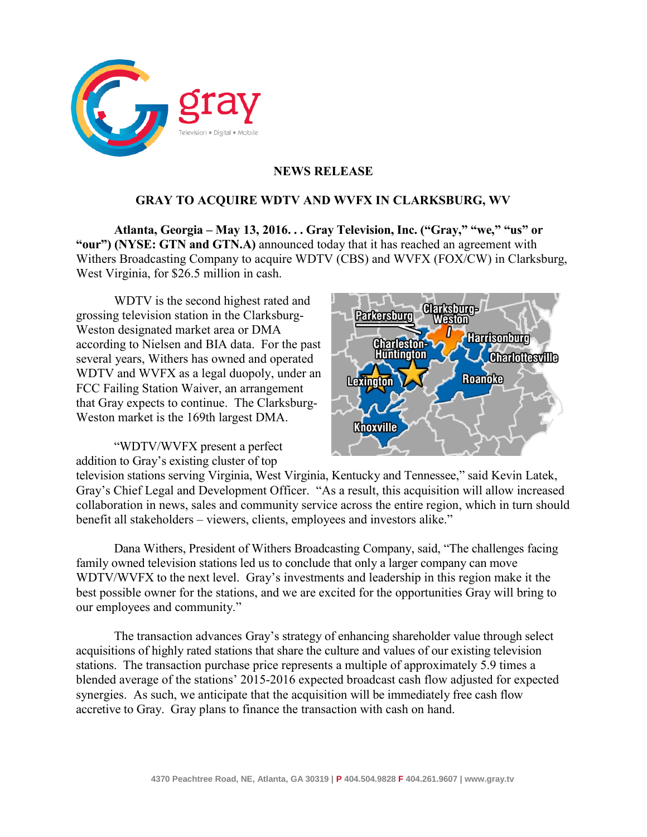

## **NEWS RELEASE**

## **GRAY TO ACQUIRE WDTV AND WVFX IN CLARKSBURG, WV**

**Atlanta, Georgia – May 13, 2016. . . Gray Television, Inc. ("Gray," "we," "us" or "our") (NYSE: GTN and GTN.A)** announced today that it has reached an agreement with Withers Broadcasting Company to acquire WDTV (CBS) and WVFX (FOX/CW) in Clarksburg, West Virginia, for \$26.5 million in cash.

WDTV is the second highest rated and grossing television station in the Clarksburg-Weston designated market area or DMA according to Nielsen and BIA data. For the past several years, Withers has owned and operated WDTV and WVFX as a legal duopoly, under an FCC Failing Station Waiver, an arrangement that Gray expects to continue. The Clarksburg-Weston market is the 169th largest DMA.

"WDTV/WVFX present a perfect addition to Gray's existing cluster of top



television stations serving Virginia, West Virginia, Kentucky and Tennessee," said Kevin Latek, Gray's Chief Legal and Development Officer. "As a result, this acquisition will allow increased collaboration in news, sales and community service across the entire region, which in turn should benefit all stakeholders – viewers, clients, employees and investors alike."

Dana Withers, President of Withers Broadcasting Company, said, "The challenges facing family owned television stations led us to conclude that only a larger company can move WDTV/WVFX to the next level. Gray's investments and leadership in this region make it the best possible owner for the stations, and we are excited for the opportunities Gray will bring to our employees and community."

The transaction advances Gray's strategy of enhancing shareholder value through select acquisitions of highly rated stations that share the culture and values of our existing television stations. The transaction purchase price represents a multiple of approximately 5.9 times a blended average of the stations' 2015-2016 expected broadcast cash flow adjusted for expected synergies. As such, we anticipate that the acquisition will be immediately free cash flow accretive to Gray. Gray plans to finance the transaction with cash on hand.